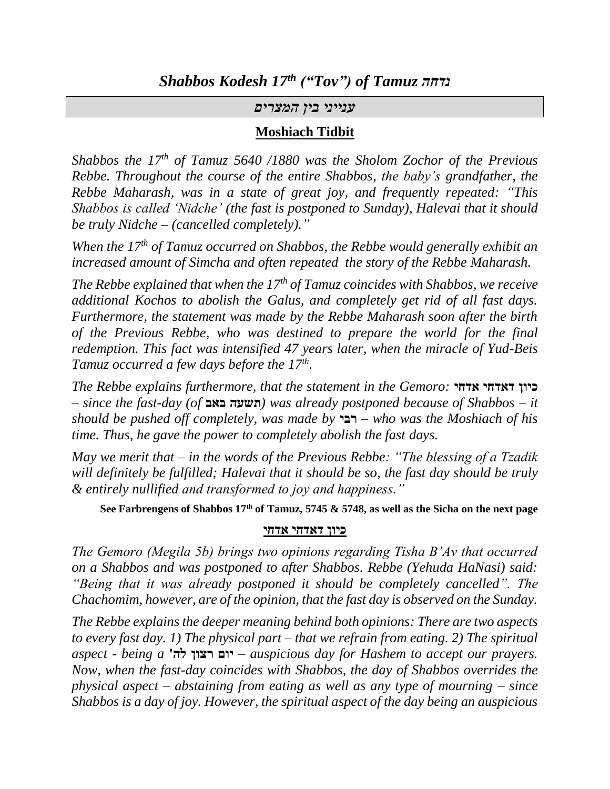#### *ענייני בין המצרים*

#### **Moshiach Tidbit**

*Shabbos the 17th of Tamuz 5640 /1880 was the Sholom Zochor of the Previous Rebbe. Throughout the course of the entire Shabbos, the baby's grandfather, the Rebbe Maharash, was in a state of great joy, and frequently repeated: "This Shabbos is called 'Nidche' (the fast is postponed to Sunday), Halevai that it should be truly Nidche – (cancelled completely)."*

*When the 17th of Tamuz occurred on Shabbos, the Rebbe would generally exhibit an increased amount of Simcha and often repeated the story of the Rebbe Maharash.* 

*The Rebbe explained that when the 17th of Tamuz coincides with Shabbos, we receive additional Kochos to abolish the Galus, and completely get rid of all fast days. Furthermore, the statement was made by the Rebbe Maharash soon after the birth of the Previous Rebbe, who was destined to prepare the world for the final redemption. This fact was intensified 47 years later, when the miracle of Yud-Beis Tamuz occurred a few days before the 17th .*

*The Rebbe explains furthermore, that the statement in the Gemoro:* **אדחי דאדחי כיון** *– since the fast-day (of* **באב תשעה** *(was already postponed because of Shabbos – it should be pushed off completely, was made by* **רבי** *– who was the Moshiach of his time. Thus, he gave the power to completely abolish the fast days.*

*May we merit that – in the words of the Previous Rebbe: "The blessing of a Tzadik will definitely be fulfilled; Halevai that it should be so, the fast day should be truly & entirely nullified and transformed to joy and happiness."*

**See Farbrengens of Shabbos 17th of Tamuz, 5745 & 5748, as well as the Sicha on the next page**

#### **כיון דאדחי אדחי**

*The Gemoro (Megila 5b) brings two opinions regarding Tisha B'Av that occurred on a Shabbos and was postponed to after Shabbos. Rebbe (Yehuda HaNasi) said: "Being that it was already postponed it should be completely cancelled". The Chachomim, however, are of the opinion, that the fast day is observed on the Sunday.*

*The Rebbe explains the deeper meaning behind both opinions: There are two aspects to every fast day. 1) The physical part – that we refrain from eating. 2) The spiritual aspect - being a* **'לה רצון יום** *– auspicious day for Hashem to accept our prayers. Now, when the fast-day coincides with Shabbos, the day of Shabbos overrides the physical aspect – abstaining from eating as well as any type of mourning – since Shabbos is a day of joy. However, the spiritual aspect of the day being an auspicious*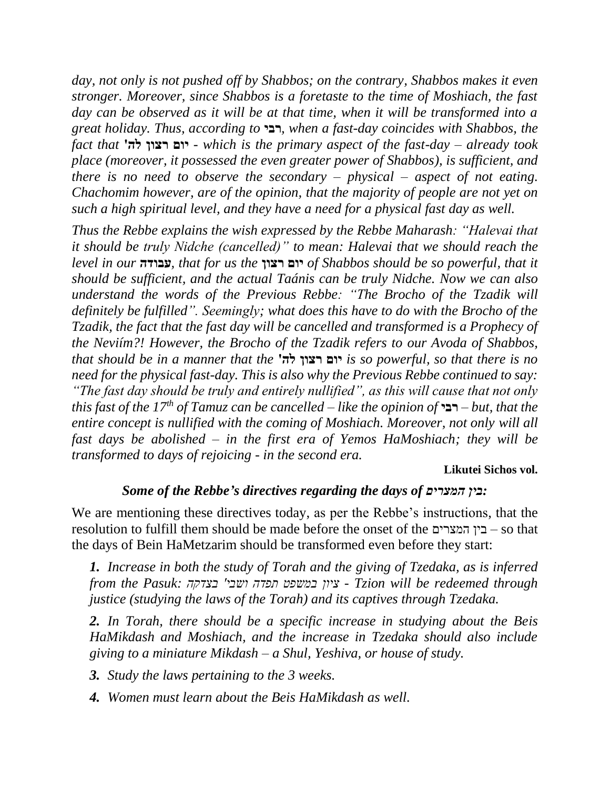*day, not only is not pushed off by Shabbos; on the contrary, Shabbos makes it even stronger. Moreover, since Shabbos is a foretaste to the time of Moshiach, the fast day can be observed as it will be at that time, when it will be transformed into a great holiday. Thus, according to* **רבי***, when a fast-day coincides with Shabbos, the fact that* **'לה רצון יום** *- which is the primary aspect of the fast-day – already took place (moreover, it possessed the even greater power of Shabbos), is sufficient, and there is no need to observe the secondary – physical – aspect of not eating. Chachomim however, are of the opinion, that the majority of people are not yet on such a high spiritual level, and they have a need for a physical fast day as well.*

*Thus the Rebbe explains the wish expressed by the Rebbe Maharash: "Halevai that it should be truly Nidche (cancelled)" to mean: Halevai that we should reach the level in our* **עבודה***, that for us the* **רצון יום** *of Shabbos should be so powerful, that it should be sufficient, and the actual Taánis can be truly Nidche. Now we can also understand the words of the Previous Rebbe: "The Brocho of the Tzadik will definitely be fulfilled". Seemingly; what does this have to do with the Brocho of the Tzadik, the fact that the fast day will be cancelled and transformed is a Prophecy of the Neviím?! However, the Brocho of the Tzadik refers to our Avoda of Shabbos, that should be in a manner that the* **'לה רצון יום** *is so powerful, so that there is no need for the physical fast-day. This is also why the Previous Rebbe continued to say: "The fast day should be truly and entirely nullified", as this will cause that not only this fast of the 17th of Tamuz can be cancelled – like the opinion of* **רבי** *– but, that the entire concept is nullified with the coming of Moshiach. Moreover, not only will all fast days be abolished – in the first era of Yemos HaMoshiach; they will be transformed to days of rejoicing - in the second era.*

#### **Likutei Sichos vol.**

#### *Some of the Rebbe's directives regarding the days of המצרים בין:*

We are mentioning these directives today, as per the Rebbe's instructions, that the resolution to fulfill them should be made before the onset of the המצרים בין – so that the days of Bein HaMetzarim should be transformed even before they start:

*1. Increase in both the study of Torah and the giving of Tzedaka, as is inferred from the Pasuk: בצדקה' ושבי תפדה במשפט ציון - Tzion will be redeemed through justice (studying the laws of the Torah) and its captives through Tzedaka.*

*2. In Torah, there should be a specific increase in studying about the Beis HaMikdash and Moshiach, and the increase in Tzedaka should also include giving to a miniature Mikdash – a Shul, Yeshiva, or house of study.*

*3. Study the laws pertaining to the 3 weeks.*

*4. Women must learn about the Beis HaMikdash as well.*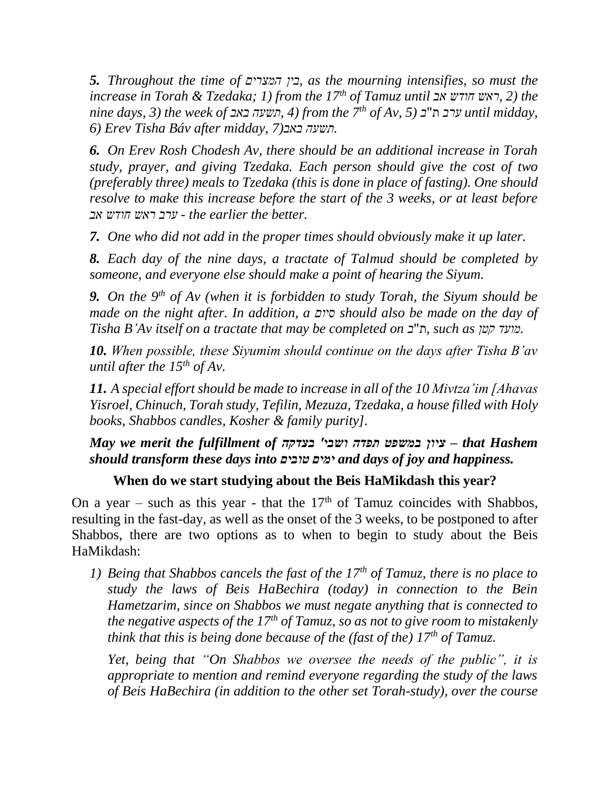*5. Throughout the time of המצרים בין, as the mourning intensifies, so must the increase in Torah & Tzedaka; 1) from the 17th of Tamuz until אב חודש ראש, 2 (the nine days, 3) the week of באב תשעה, 4 (from the 7th of Av, 5) ב*"ת *ערב until midday, 6) Erev Tisha Báv after midday, 7)באב תשעה.*

*6. On Erev Rosh Chodesh Av, there should be an additional increase in Torah study, prayer, and giving Tzedaka. Each person should give the cost of two (preferably three) meals to Tzedaka (this is done in place of fasting). One should resolve to make this increase before the start of the 3 weeks, or at least before .better the earlier the - ערב ראש חודש אב*

*7. One who did not add in the proper times should obviously make it up later.*

*8. Each day of the nine days, a tractate of Talmud should be completed by someone, and everyone else should make a point of hearing the Siyum.* 

*9. On the 9th of Av (when it is forbidden to study Torah, the Siyum should be made on the night after. In addition, a סיום should also be made on the day of Tisha B'Av itself on a tractate that may be completed on ב*"ת*, such as קטן מועד.*

*10. When possible, these Siyumim should continue on the days after Tisha B'av until after the 15th of Av.*

*11. A special effort should be made to increase in all of the 10 Mivtza'im [Ahavas Yisroel, Chinuch, Torah study, Tefilin, Mezuza, Tzedaka, a house filled with Holy books, Shabbos candles, Kosher & family purity].*

*May we merit the fulfillment of בצדקה' ושבי תפדה במשפט ציון – that Hashem should transform these days into טובים ימים and days of joy and happiness.*

# **When do we start studying about the Beis HaMikdash this year?**

On a year – such as this year - that the  $17<sup>th</sup>$  of Tamuz coincides with Shabbos, resulting in the fast-day, as well as the onset of the 3 weeks, to be postponed to after Shabbos, there are two options as to when to begin to study about the Beis HaMikdash:

*1) Being that Shabbos cancels the fast of the 17th of Tamuz, there is no place to study the laws of Beis HaBechira (today) in connection to the Bein Hametzarim, since on Shabbos we must negate anything that is connected to the negative aspects of the 17th of Tamuz, so as not to give room to mistakenly think that this is being done because of the (fast of the) 17th of Tamuz.*

*Yet, being that "On Shabbos we oversee the needs of the public", it is appropriate to mention and remind everyone regarding the study of the laws of Beis HaBechira (in addition to the other set Torah-study), over the course*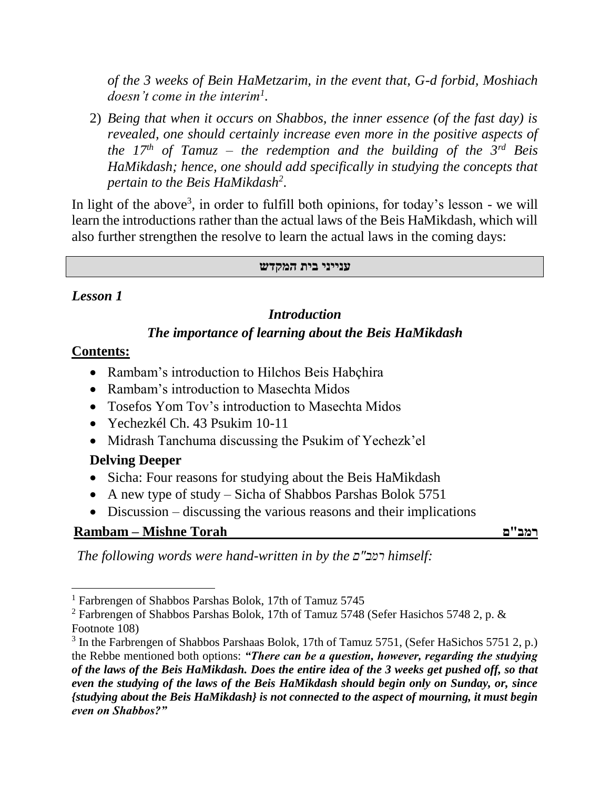*of the 3 weeks of Bein HaMetzarim, in the event that, G-d forbid, Moshiach doesn't come in the interim<sup>1</sup> .*

2) *Being that when it occurs on Shabbos, the inner essence (of the fast day) is revealed, one should certainly increase even more in the positive aspects of the 17th of Tamuz – the redemption and the building of the 3rd Beis HaMikdash; hence, one should add specifically in studying the concepts that pertain to the Beis HaMikdash<sup>2</sup>* .

In light of the above<sup>3</sup>, in order to fulfill both opinions, for today's lesson - we will learn the introductions rather than the actual laws of the Beis HaMikdash, which will also further strengthen the resolve to learn the actual laws in the coming days:

#### **ענייני בית המקדש**

### *Lesson 1*

### *Introduction*

### *The importance of learning about the Beis HaMikdash*

### **Contents:**

l

- Rambam's introduction to Hilchos Beis Habçhira
- Rambam's introduction to Masechta Midos
- Tosefos Yom Tov's introduction to Masechta Midos
- Yechezkél Ch. 43 Psukim 10-11
- Midrash Tanchuma discussing the Psukim of Yechezk'el

## **Delving Deeper**

- Sicha: Four reasons for studying about the Beis HaMikdash
- A new type of study Sicha of Shabbos Parshas Bolok 5751
- Discussion discussing the various reasons and their implications

# **Rambam – Mishne Torah ם"רמב**

*The following words were hand-written in by the ם"רמב himself:*

<sup>&</sup>lt;sup>1</sup> Farbrengen of Shabbos Parshas Bolok, 17th of Tamuz 5745

<sup>&</sup>lt;sup>2</sup> Farbrengen of Shabbos Parshas Bolok, 17th of Tamuz 5748 (Sefer Hasichos 5748 2, p.  $\&$ Footnote 108)

<sup>&</sup>lt;sup>3</sup> In the Farbrengen of Shabbos Parshaas Bolok, 17th of Tamuz 5751, (Sefer HaSichos 5751 2, p.) the Rebbe mentioned both options: *"There can be a question, however, regarding the studying of the laws of the Beis HaMikdash. Does the entire idea of the 3 weeks get pushed off, so that even the studying of the laws of the Beis HaMikdash should begin only on Sunday, or, since {studying about the Beis HaMikdash} is not connected to the aspect of mourning, it must begin even on Shabbos?"*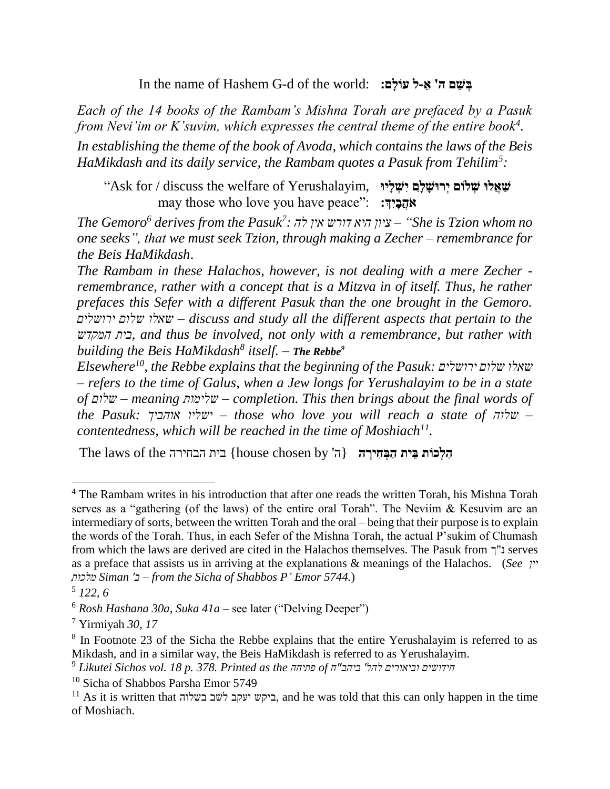In the name of Hashem G-d of the world: **:םָולֹע ל- ֵׁא' ה ם ֵׁש ְּב**

*Each of the 14 books of the Rambam's Mishna Torah are prefaced by a Pasuk from Nevi'im or K'suvim, which expresses the central theme of the entire book<sup>4</sup> .*

*In establishing the theme of the book of Avoda, which contains the laws of the Beis HaMikdash and its daily service, the Rambam quotes a Pasuk from Tehilim<sup>5</sup> :*

**שַׁ אֲלּו שְּ לֹום יְּרּושָ לָ ִָם יִָשְּ לָיּו**  "Ask for / discuss the welfare of Yerushalayim, **אֹהֲבָיְִָך:** may those who love you have peace":

*The Gemoro<sup>6</sup> derives from the Pasuk<sup>7</sup> no whom Tzion is She – "ציון היא דורש אין לה : one seeks", that we must seek Tzion, through making a Zecher – remembrance for the Beis HaMikdash*.

*The Rambam in these Halachos, however, is not dealing with a mere Zecher remembrance, rather with a concept that is a Mitzva in of itself. Thus, he rather prefaces this Sefer with a different Pasuk than the one brought in the Gemoro. ירושלים שלום שאלו – discuss and study all the different aspects that pertain to the המקדש בית, and thus be involved, not only with a remembrance, but rather with building the Beis HaMikdash<sup>8</sup> itself. – The Rebbe<sup>9</sup>*

*Elsewhere<sup>10</sup>, the Rebbe explains that the beginning of the Pasuk: ירושלים שלום שאלו – refers to the time of Galus, when a Jew longs for Yerushalayim to be in a state of שלום – meaning שלימות – completion. This then brings about the final words of the Pasuk: אוהביך ישליו – those who love you will reach a state of שלוה– contentedness, which will be reached in the time of Moshiach<sup>11</sup> .* 

ה**ִלְכוֹת בֵּית הַבְּחִירֵה {ה' {house chosen by בית הבחירה The laws of the** 

 $\overline{a}$ 

<sup>&</sup>lt;sup>4</sup> The Rambam writes in his introduction that after one reads the written Torah, his Mishna Torah serves as a "gathering (of the laws) of the entire oral Torah". The Neviím & Kesuvim are an intermediary of sorts, between the written Torah and the oral – being that their purpose is to explain the words of the Torah. Thus, in each Sefer of the Mishna Torah, the actual P'sukim of Chumash from which the laws are derived are cited in the Halachos themselves. The Pasuk from נ"ך serves as a preface that assists us in arriving at the explanations & meanings of the Halachos. (*See יין מלכות Siman 'ב – from the Sicha of Shabbos P' Emor 5744.*)

<sup>5</sup> *122, 6*

<sup>6</sup> *Rosh Hashana 30a, Suka 41a* – see later ("Delving Deeper")

<sup>7</sup> Yirmiyah *30, 17*

<sup>&</sup>lt;sup>8</sup> In Footnote 23 of the Sicha the Rebbe explains that the entire Yerushalayim is referred to as Mikdash, and in a similar way, the Beis HaMikdash is referred to as Yerushalayim.

<sup>9</sup> *Likutei Sichos vol. 18 p. 378. Printed as the פתיחה of ח"ביהב' להל וביאורים חידושים*

<sup>10</sup> Sicha of Shabbos Parsha Emor 5749

 $^{11}$  As it is written that ביקש יעקב לשב בשלוה, and he was told that this can only happen in the time of Moshiach.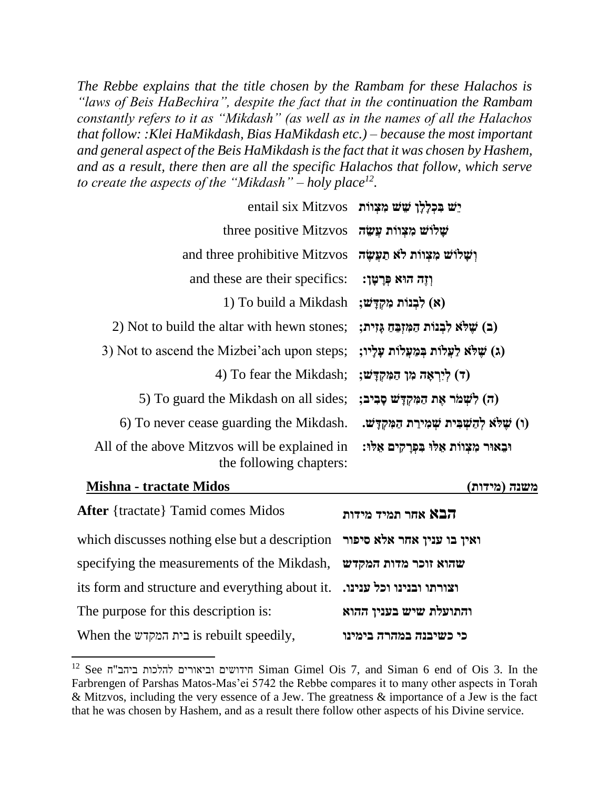*The Rebbe explains that the title chosen by the Rambam for these Halachos is "laws of Beis HaBechira", despite the fact that in the continuation the Rambam constantly refers to it as "Mikdash" (as well as in the names of all the Halachos that follow: :Klei HaMikdash, Bias HaMikdash etc.) – because the most important and general aspect of the Beis HaMikdash is the fact that it was chosen by Hashem, and as a result, there then are all the specific Halachos that follow, which serve to create the aspects of the "Mikdash" – holy place<sup>12</sup> .*

|                                                                                    | entail six Mitzvos יָשׁ מִצְוֹת entail six Mitzvos |
|------------------------------------------------------------------------------------|----------------------------------------------------|
| three positive Mitzvos עֵלוֹשׁ מִצְווֹת עֲשָׂד                                     |                                                    |
| and three prohibitive Mitzvos וִשְׁלוֹשׁ מִצְוֹת לֹא תַעֲשָׂה                      |                                                    |
| and these are their specifics:                                                     | וְזֶה הוּא פִּרְטָן:                               |
| (א) לְבְנוֹת מְקְדַּשׁ: To build a Mikdash)                                        |                                                    |
| 2) Not to build the altar with hewn stones;                                        | (ב) שֵׁלֹא לִבְנוֹת הַמְּזְבֶּהַ גֵּזְיִת;         |
| 3) Not to ascend the Mizbei'ach upon steps; ג) שֵׁלֹא לַעֲלוֹת בְּמַעֲלוֹת עָלָיו; |                                                    |
| 4) To fear the Mikdash; (ד) ליִרְאָה מְן הַמְּקְדַּשׁ:                             |                                                    |
| 5) To guard the Mikdash on all sides;                                              | (ה) לִשְׁמֹר אֵת הַמִּקְדָּשׁ סָבִיב;              |
| 6) To never cease guarding the Mikdash.                                            | (ו) שֵׁלֹא לְהַשִּׁבִּית שִׁמְירַת הַמְּקְדָּשׁ.   |
| All of the above Mitzvos will be explained in<br>the following chapters:           | וּבֵאוּר מִצְווֹת אֵלוּ בִּפְרָקִים אֵלּוּ:        |

| <b>Mishna - tractate Midos</b>                                            | משנה (מידות)           |
|---------------------------------------------------------------------------|------------------------|
| <b>After</b> {tractate} Tamid comes Midos                                 | הבא אחר תמיד מידות     |
| which discusses nothing else but a description ואין בו ענין אחר אלא סיפור |                        |
| specifying the measurements of the Mikdash, שהוא זוכר מדות המקדש          |                        |
| its form and structure and everything about it. וצורתו ובנינו וכל ענינו.  |                        |
| The purpose for this description is:                                      | והתועלת שיש בענין ההוא |
| When the בית המקדש is rebuilt speedily,                                   | כי כשיבנה במהרה בימינו |

<sup>12</sup> See ח"ביהב להלכות וביאורים חידושים Siman Gimel Ois 7, and Siman 6 end of Ois 3. In the Farbrengen of Parshas Matos-Mas'ei 5742 the Rebbe compares it to many other aspects in Torah & Mitzvos, including the very essence of a Jew. The greatness & importance of a Jew is the fact that he was chosen by Hashem, and as a result there follow other aspects of his Divine service.

 $\overline{\phantom{a}}$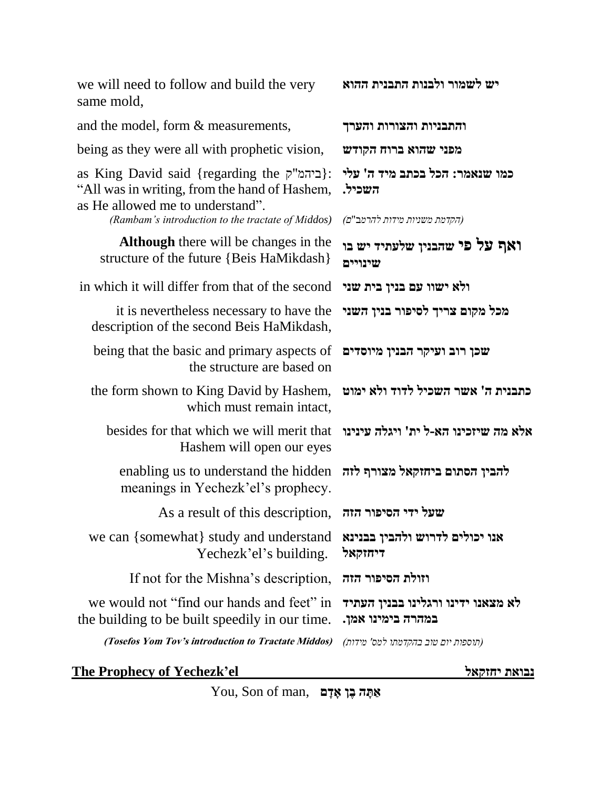we will need to follow and build the very same mold,

and the model, form & measurements, **והערך והצורות והתבניות** being as they were all with prophetic vision, **הקודש ברוח שהוא מפני** as King David said {regarding the ק"ביהמ{: "All was in writing, from the hand of Hashem, as He allowed me to understand". **כמו שנאמר: הכל בכתב מיד ה' עלי השכיל.** *(Rambam's introduction to the tractate of Middos) )ם*"*להרמ*ב *מידות משניות הקדמת)* **Although** there will be changes in the structure of the future {Beis HaMikdash} **ואף על פי שהבנין שלעתיד יש בו שינויים**  in which it will differ from that of the second **שני בית בנין עם ישוו ולא** it is nevertheless necessary to have the description of the second Beis HaMikdash, **מכל מקום צריך לסיפור בנין השני**  being that the basic and primary aspects of the structure are based on **שכן רוב ועיקר הבנין מיוסדים**  the form shown to King David by Hashem, which must remain intact, **כתבנית ה' אשר השכיל לדוד ולא ימוט**  besides for that which we will merit that Hashem will open our eyes **אלא מה שיזכינו הא-ל ית' ויגלה עינינו**  enabling us to understand the hidden **להבין הסתום ביחזקאל מצורף לזה**  meanings in Yechezk'el's prophecy. As a result of this description, **הזה הסיפור ידי שעל** we can {somewhat} study and understand Yechezk'el's building. **אנו יכולים לדרוש ולהבין בבנינא דיחזקאל**  If not for the Mishna's description, **הזה הסיפור וזולת** we would not "find our hands and feet" in the building to be built speedily in our time. **לא מצאנו ידינו ורגלינו בבנין העתיד במהרה בימינו אמן. (Tosefos Yom Tov's introduction to Tractate Middos)** *)מידות' למס בהקדמתו טוב יום תוספות)*

**יש לשמור ולבנות התבנית ההוא** 

#### **The Prophecy of Yechezk'el יחזקאל נבואת**

 $Y$ **ou, Son of man,** אַתָּה בֶּן אָדָם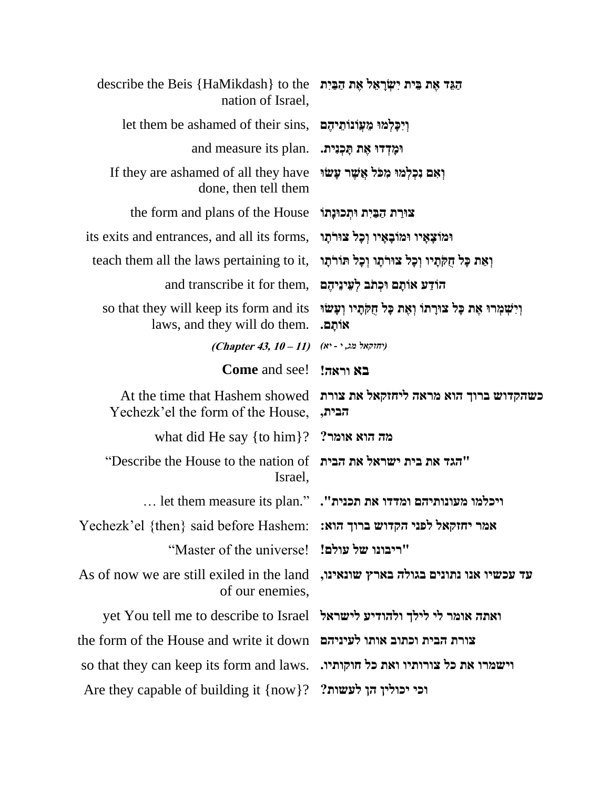| describe the Beis {HaMikdash} to the<br>nation of Israel,                | הגֵד אֵת בֵּית יִשְׂרָאֵל אֵת הַבַּיִת                               |
|--------------------------------------------------------------------------|----------------------------------------------------------------------|
| let them be ashamed of their sins,                                       | וִיכָּלְמוּ מֵעֲוֹנוֹתֵיהֶם                                          |
| and measure its plan.                                                    | וּמָדְדוּ אֶת תָּכְנִית.                                             |
| If they are ashamed of all they have<br>done, then tell them             | ואם נכלמו מכל אֲשֶׁר עָשׂוּ                                          |
| the form and plans of the House                                          | צורת הַבַּיִת וּתִכוּנָתוֹ                                           |
| its exits and entrances, and all its forms,                              | וּמוֹצָאָיו וּמוֹבָאָיו וְכָל צוּרֹתָו                               |
| teach them all the laws pertaining to it,                                | וְאֵת כָּל חֻקֹּתָיו וְכָל צוּרֹתָו וְכָל תּוֹרֹתָו                  |
| and transcribe it for them,                                              | הוֹדַע אוֹתָם וּכְתֹב לְעֵינֵיהֶם                                    |
| so that they will keep its form and its<br>laws, and they will do them.  | וְיִשְׁמְרוּ אֶת כָּל צוּרָתוֹ וְאֶת כָּל חָקְתָיו וְעָשׂוּ<br>אותם. |
| (Chapter 43, $10 - 11$ )                                                 | (יחוקאל מג, י - יא)                                                  |
| <b>Come</b> and see!                                                     | בא וראה!                                                             |
| At the time that Hashem showed<br>Yechezk'el the form of the House,      | כשהקדוש ברוך הוא מראה ליחזקאל את צורת<br>הבית,                       |
| what did He say $\{$ to him $\}$ ?                                       | מה הוא אומר?                                                         |
| "הגד את בית ישראל את הבית Describe the House to the nation of<br>Israel, |                                                                      |
|                                                                          | $\ldots$ let them measure its plan." מעונותיהם ומדדו את הכנית".      |
| Yechezk'el {then} said before Hashem: אמר יחזקאל לפני הקדוש ברוך הוא:    |                                                                      |
| "ריבונו של עולם! ['Master of the universe'                               |                                                                      |
| As of now we are still exiled in the land<br>of our enemies,             | עד עכשיו אנו נתונים בגולה בארץ שונאינו,                              |
| yet You tell me to describe to Israel                                    | ואתה אומר לי לילך ולהודיע לישראל                                     |
| the form of the House and write it down                                  | צורת הבית וכתוב אותו לעיניהם                                         |
| so that they can keep its form and laws.                                 | וישמרו את כל צורותיו ואת כל חוקותיו.                                 |
| Are they capable of building it $\{now\}$ ?                              | וכי יכולין הן לעשות?                                                 |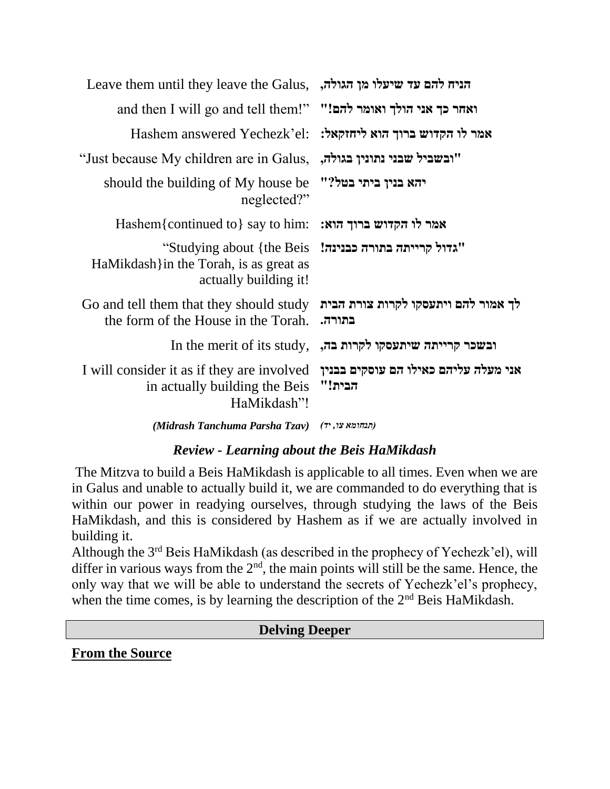|                                                           | Leave them until they leave the Galus, הניח להם עד שיעלו מן הגולה,                                                                           |
|-----------------------------------------------------------|----------------------------------------------------------------------------------------------------------------------------------------------|
|                                                           | and then I will go and tell them!" "הם!" הולך ואומר להם!                                                                                     |
|                                                           | Hashem answered Yechezk'el: אמר לו הקדוש ברוך הוא ליחזקאל:                                                                                   |
| "ובשביל שבני נתונין בגולה,                                | "Just because My children are in Galus,                                                                                                      |
|                                                           | should the building of My house be "להא בנין ביתי בטל?"<br>neglected?"                                                                       |
|                                                           | Hashem{continued to} say to him: אמר לו הקדוש ברוך הוא:                                                                                      |
| "גדול קרייתה בתורה כבנינה! Studying about {the Beis"      | HaMikdash } in the Torah, is as great as<br>actually building it!                                                                            |
| לך אמור להם ויתעסקו לקרות צורת הבית<br>בתורה.             | Go and tell them that they should study<br>the form of the House in the Torah.                                                               |
| In the merit of its study, ובשכר קרייתה שיתעסקו לקרות בה, |                                                                                                                                              |
| הבית!"                                                    | I will consider it as if they are involved ובנוין I will consider it as if they are involved<br>in actually building the Beis<br>HaMikdash"! |
|                                                           |                                                                                                                                              |

*(Midrash Tanchuma Parsha Tzav) )יד ,צו תנחומא)*

## *Review - Learning about the Beis HaMikdash*

The Mitzva to build a Beis HaMikdash is applicable to all times. Even when we are in Galus and unable to actually build it, we are commanded to do everything that is within our power in readying ourselves, through studying the laws of the Beis HaMikdash, and this is considered by Hashem as if we are actually involved in building it.

Although the 3rd Beis HaMikdash (as described in the prophecy of Yechezk'el), will differ in various ways from the  $2<sup>nd</sup>$ , the main points will still be the same. Hence, the only way that we will be able to understand the secrets of Yechezk'el's prophecy, when the time comes, is by learning the description of the 2<sup>nd</sup> Beis HaMikdash.

#### **Delving Deeper**

**From the Source**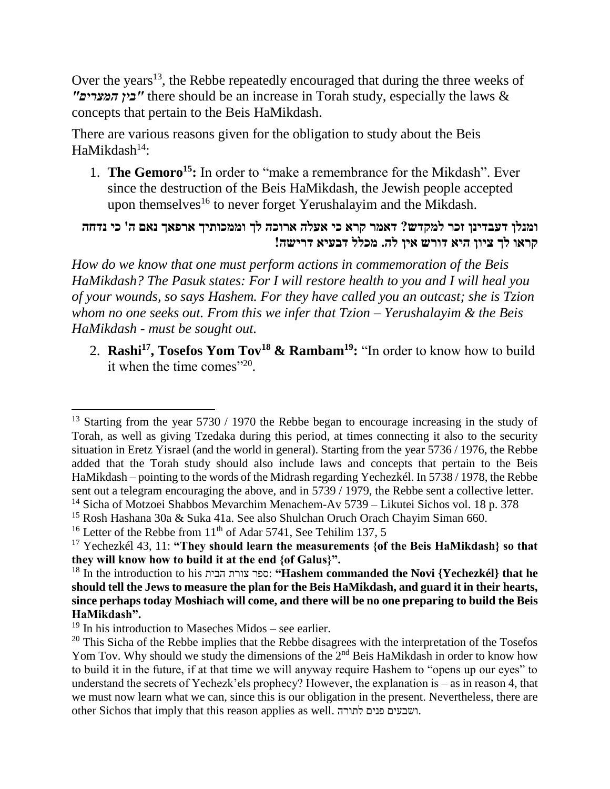Over the years<sup>13</sup>, the Rebbe repeatedly encouraged that during the three weeks of *"המצרים בין "*there should be an increase in Torah study, especially the laws & concepts that pertain to the Beis HaMikdash.

There are various reasons given for the obligation to study about the Beis  $HaMikdash<sup>14</sup>$ :

1. **The Gemoro<sup>15</sup>:** In order to "make a remembrance for the Mikdash". Ever since the destruction of the Beis HaMikdash, the Jewish people accepted upon themselves<sup>16</sup> to never forget Yerushalayim and the Mikdash.

### **ומנלן דעבדינן זכר למקדש? דאמר קרא כי אעלה ארוכה לך וממכותיך ארפאך נאם ה' כי נדחה קראו לך ציון היא דורש אין לה. מכלל דבעיא דרישה!**

*How do we know that one must perform actions in commemoration of the Beis HaMikdash? The Pasuk states: For I will restore health to you and I will heal you of your wounds, so says Hashem. For they have called you an outcast; she is Tzion whom no one seeks out. From this we infer that Tzion – Yerushalayim & the Beis HaMikdash - must be sought out.*

2. **Rashi<sup>17</sup>, Tosefos Yom Tov<sup>18</sup> & Rambam<sup>19</sup>:** "In order to know how to build it when the time comes" $20$ .

<sup>15</sup> Rosh Hashana 30a & Suka 41a. See also Shulchan Oruch Orach Chayim Siman 660.

 $\overline{\phantom{a}}$ 

<sup>&</sup>lt;sup>13</sup> Starting from the year 5730 / 1970 the Rebbe began to encourage increasing in the study of Torah, as well as giving Tzedaka during this period, at times connecting it also to the security situation in Eretz Yisrael (and the world in general). Starting from the year 5736 / 1976, the Rebbe added that the Torah study should also include laws and concepts that pertain to the Beis HaMikdash – pointing to the words of the Midrash regarding Yechezkél. In 5738 / 1978, the Rebbe sent out a telegram encouraging the above, and in 5739 / 1979, the Rebbe sent a collective letter. <sup>14</sup> Sicha of Motzoei Shabbos Mevarchim Menachem-Av 5739 – Likutei Sichos vol. 18 p. 378

<sup>&</sup>lt;sup>16</sup> Letter of the Rebbe from  $11<sup>th</sup>$  of Adar 5741, See Tehilim 137, 5

<sup>17</sup> Yechezkél 43, 11: **"They should learn the measurements {of the Beis HaMikdash} so that they will know how to build it at the end {of Galus}".**

<sup>18</sup> In the introduction to his הבית צורת ספר:**" Hashem commanded the Novi {Yechezkél} that he should tell the Jews to measure the plan for the Beis HaMikdash, and guard it in their hearts, since perhaps today Moshiach will come, and there will be no one preparing to build the Beis HaMikdash".**

 $19$  In his introduction to Maseches Midos – see earlier.

<sup>&</sup>lt;sup>20</sup> This Sicha of the Rebbe implies that the Rebbe disagrees with the interpretation of the Tosefos Yom Tov. Why should we study the dimensions of the 2<sup>nd</sup> Beis HaMikdash in order to know how to build it in the future, if at that time we will anyway require Hashem to "opens up our eyes" to understand the secrets of Yechezk'els prophecy? However, the explanation is – as in reason 4, that we must now learn what we can, since this is our obligation in the present. Nevertheless, there are other Sichos that imply that this reason applies as well. לתורה פנים ושבעים.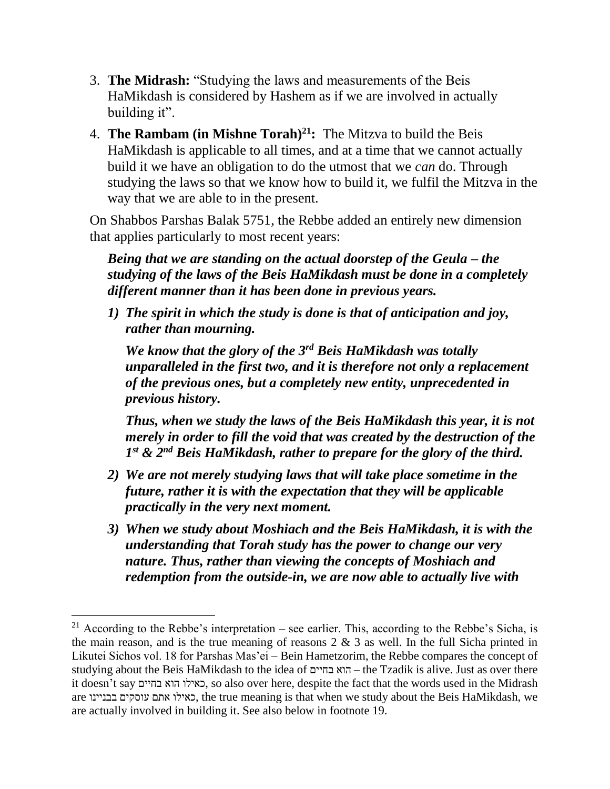- 3. **The Midrash:** "Studying the laws and measurements of the Beis HaMikdash is considered by Hashem as if we are involved in actually building it".
- 4. **The Rambam (in Mishne Torah)<sup>21</sup>:** The Mitzva to build the Beis HaMikdash is applicable to all times, and at a time that we cannot actually build it we have an obligation to do the utmost that we *can* do. Through studying the laws so that we know how to build it, we fulfil the Mitzva in the way that we are able to in the present.

On Shabbos Parshas Balak 5751, the Rebbe added an entirely new dimension that applies particularly to most recent years:

*Being that we are standing on the actual doorstep of the Geula – the studying of the laws of the Beis HaMikdash must be done in a completely different manner than it has been done in previous years.*

*1) The spirit in which the study is done is that of anticipation and joy, rather than mourning.* 

*We know that the glory of the 3rd Beis HaMikdash was totally unparalleled in the first two, and it is therefore not only a replacement of the previous ones, but a completely new entity, unprecedented in previous history.*

*Thus, when we study the laws of the Beis HaMikdash this year, it is not merely in order to fill the void that was created by the destruction of the 1 st & 2nd Beis HaMikdash, rather to prepare for the glory of the third.*

- *2) We are not merely studying laws that will take place sometime in the future, rather it is with the expectation that they will be applicable practically in the very next moment.*
- *3) When we study about Moshiach and the Beis HaMikdash, it is with the understanding that Torah study has the power to change our very nature. Thus, rather than viewing the concepts of Moshiach and redemption from the outside-in, we are now able to actually live with*

 $\overline{a}$ 

<sup>&</sup>lt;sup>21</sup> According to the Rebbe's interpretation – see earlier. This, according to the Rebbe's Sicha, is the main reason, and is the true meaning of reasons  $2 \& 3$  as well. In the full Sicha printed in Likutei Sichos vol. 18 for Parshas Mas'ei – Bein Hametzorim, the Rebbe compares the concept of studying about the Beis HaMikdash to the idea of בחיים הוא – the Tzadik is alive. Just as over there it doesn't say בחיים הוא כאילו, so also over here, despite the fact that the words used in the Midrash are בבניינו עוסקים אתם כאילו, the true meaning is that when we study about the Beis HaMikdash, we are actually involved in building it. See also below in footnote 19.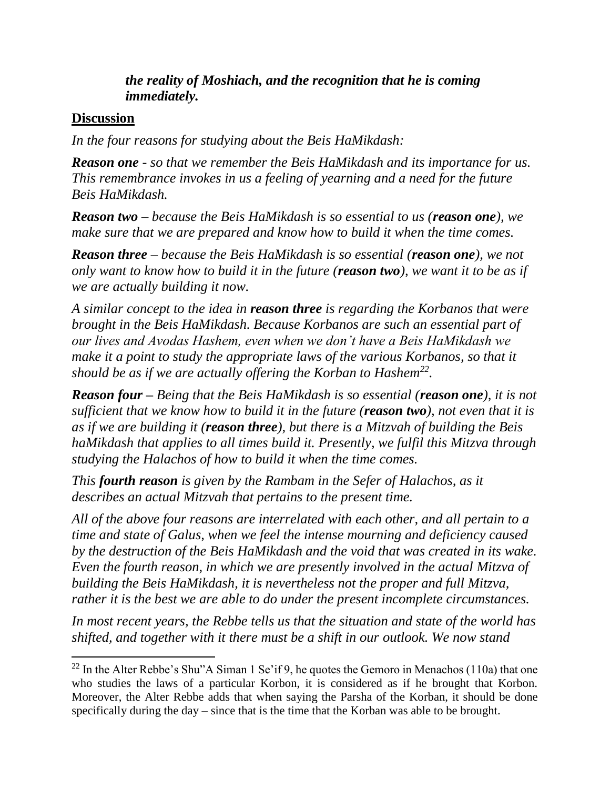### *the reality of Moshiach, and the recognition that he is coming immediately.*

#### **Discussion**

 $\overline{\phantom{a}}$ 

*In the four reasons for studying about the Beis HaMikdash:*

*Reason one - so that we remember the Beis HaMikdash and its importance for us. This remembrance invokes in us a feeling of yearning and a need for the future Beis HaMikdash.*

*Reason two – because the Beis HaMikdash is so essential to us (reason one), we make sure that we are prepared and know how to build it when the time comes.*

*Reason three – because the Beis HaMikdash is so essential (reason one), we not only want to know how to build it in the future (reason two), we want it to be as if we are actually building it now.* 

*A similar concept to the idea in reason three is regarding the Korbanos that were brought in the Beis HaMikdash. Because Korbanos are such an essential part of our lives and Avodas Hashem, even when we don't have a Beis HaMikdash we make it a point to study the appropriate laws of the various Korbanos, so that it should be as if we are actually offering the Korban to Hashem<sup>22</sup> .*

*Reason four – Being that the Beis HaMikdash is so essential (reason one), it is not sufficient that we know how to build it in the future (reason two), not even that it is as if we are building it (reason three), but there is a Mitzvah of building the Beis haMikdash that applies to all times build it. Presently, we fulfil this Mitzva through studying the Halachos of how to build it when the time comes.*

*This fourth reason is given by the Rambam in the Sefer of Halachos, as it describes an actual Mitzvah that pertains to the present time.* 

*All of the above four reasons are interrelated with each other, and all pertain to a time and state of Galus, when we feel the intense mourning and deficiency caused by the destruction of the Beis HaMikdash and the void that was created in its wake. Even the fourth reason, in which we are presently involved in the actual Mitzva of building the Beis HaMikdash, it is nevertheless not the proper and full Mitzva, rather it is the best we are able to do under the present incomplete circumstances.*

*In most recent years, the Rebbe tells us that the situation and state of the world has shifted, and together with it there must be a shift in our outlook. We now stand* 

<sup>&</sup>lt;sup>22</sup> In the Alter Rebbe's Shu"A Siman 1 Se'if 9, he quotes the Gemoro in Menachos (110a) that one who studies the laws of a particular Korbon, it is considered as if he brought that Korbon. Moreover, the Alter Rebbe adds that when saying the Parsha of the Korban, it should be done specifically during the day – since that is the time that the Korban was able to be brought.